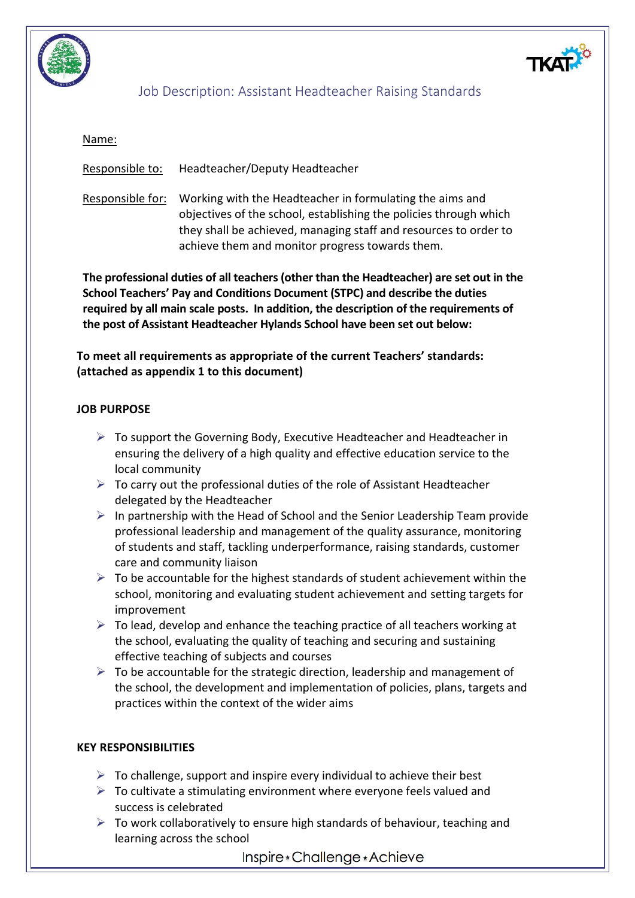



# Name:

Responsible to: Headteacher/Deputy Headteacher

Responsible for: Working with the Headteacher in formulating the aims and objectives of the school, establishing the policies through which they shall be achieved, managing staff and resources to order to achieve them and monitor progress towards them.

**The professional duties of all teachers (other than the Headteacher) are set out in the School Teachers' Pay and Conditions Document (STPC) and describe the duties required by all main scale posts. In addition, the description of the requirements of the post of Assistant Headteacher Hylands School have been set out below:** 

**To meet all requirements as appropriate of the current Teachers' standards: (attached as appendix 1 to this document)**

# **JOB PURPOSE**

- $\triangleright$  To support the Governing Body, Executive Headteacher and Headteacher in ensuring the delivery of a high quality and effective education service to the local community
- $\triangleright$  To carry out the professional duties of the role of Assistant Headteacher delegated by the Headteacher
- $\triangleright$  In partnership with the Head of School and the Senior Leadership Team provide professional leadership and management of the quality assurance, monitoring of students and staff, tackling underperformance, raising standards, customer care and community liaison
- $\triangleright$  To be accountable for the highest standards of student achievement within the school, monitoring and evaluating student achievement and setting targets for improvement
- $\triangleright$  To lead, develop and enhance the teaching practice of all teachers working at the school, evaluating the quality of teaching and securing and sustaining effective teaching of subjects and courses
- $\triangleright$  To be accountable for the strategic direction, leadership and management of the school, the development and implementation of policies, plans, targets and practices within the context of the wider aims

# **KEY RESPONSIBILITIES**

- $\triangleright$  To challenge, support and inspire every individual to achieve their best
- $\triangleright$  To cultivate a stimulating environment where everyone feels valued and success is celebrated
- $\triangleright$  To work collaboratively to ensure high standards of behaviour, teaching and learning across the school

Inspire \* Challenge \* Achieve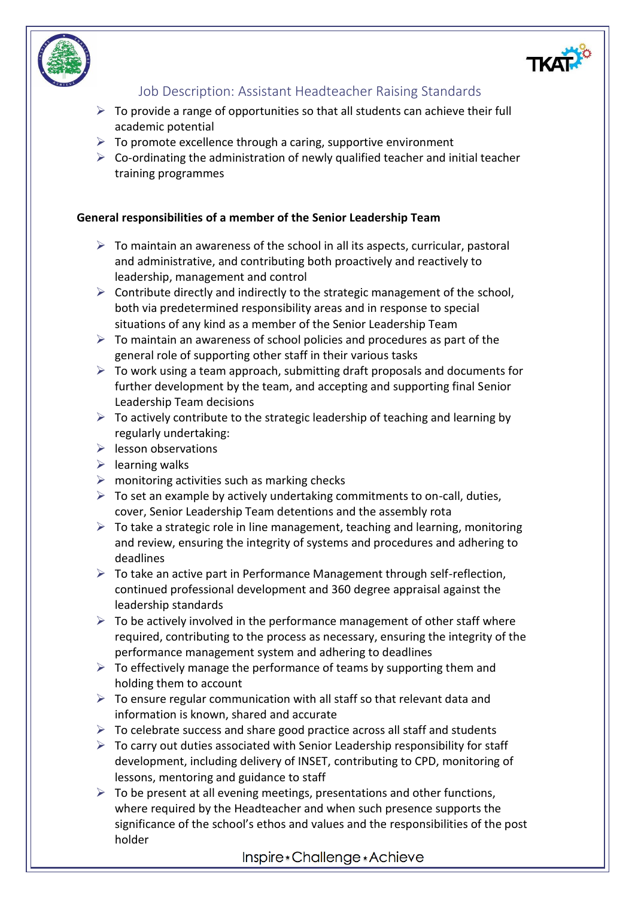



- $\triangleright$  To provide a range of opportunities so that all students can achieve their full academic potential
- $\triangleright$  To promote excellence through a caring, supportive environment
- $\triangleright$  Co-ordinating the administration of newly qualified teacher and initial teacher training programmes

# **General responsibilities of a member of the Senior Leadership Team**

- $\triangleright$  To maintain an awareness of the school in all its aspects, curricular, pastoral and administrative, and contributing both proactively and reactively to leadership, management and control
- $\triangleright$  Contribute directly and indirectly to the strategic management of the school, both via predetermined responsibility areas and in response to special situations of any kind as a member of the Senior Leadership Team
- $\triangleright$  To maintain an awareness of school policies and procedures as part of the general role of supporting other staff in their various tasks
- $\triangleright$  To work using a team approach, submitting draft proposals and documents for further development by the team, and accepting and supporting final Senior Leadership Team decisions
- $\triangleright$  To actively contribute to the strategic leadership of teaching and learning by regularly undertaking:
- $\blacktriangleright$  lesson observations
- $\triangleright$  learning walks
- $\triangleright$  monitoring activities such as marking checks
- $\triangleright$  To set an example by actively undertaking commitments to on-call, duties, cover, Senior Leadership Team detentions and the assembly rota
- $\triangleright$  To take a strategic role in line management, teaching and learning, monitoring and review, ensuring the integrity of systems and procedures and adhering to deadlines
- $\triangleright$  To take an active part in Performance Management through self-reflection, continued professional development and 360 degree appraisal against the leadership standards
- $\triangleright$  To be actively involved in the performance management of other staff where required, contributing to the process as necessary, ensuring the integrity of the performance management system and adhering to deadlines
- $\triangleright$  To effectively manage the performance of teams by supporting them and holding them to account
- $\triangleright$  To ensure regular communication with all staff so that relevant data and information is known, shared and accurate
- $\triangleright$  To celebrate success and share good practice across all staff and students
- $\triangleright$  To carry out duties associated with Senior Leadership responsibility for staff development, including delivery of INSET, contributing to CPD, monitoring of lessons, mentoring and guidance to staff
- $\triangleright$  To be present at all evening meetings, presentations and other functions, where required by the Headteacher and when such presence supports the significance of the school's ethos and values and the responsibilities of the post holder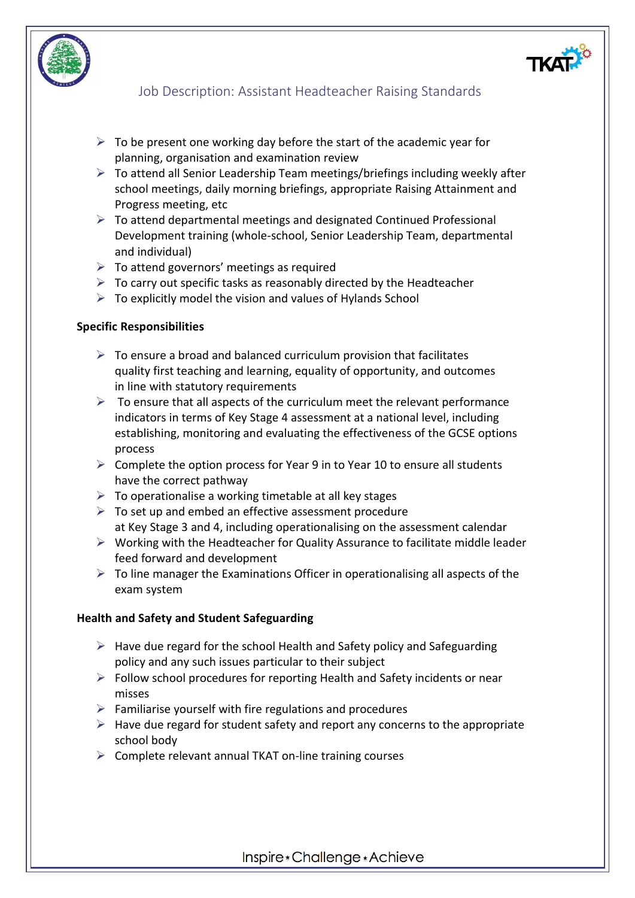



- $\triangleright$  To be present one working day before the start of the academic year for planning, organisation and examination review
- $\triangleright$  To attend all Senior Leadership Team meetings/briefings including weekly after school meetings, daily morning briefings, appropriate Raising Attainment and Progress meeting, etc
- $\triangleright$  To attend departmental meetings and designated Continued Professional Development training (whole-school, Senior Leadership Team, departmental and individual)
- $\triangleright$  To attend governors' meetings as required
- $\triangleright$  To carry out specific tasks as reasonably directed by the Headteacher
- $\triangleright$  To explicitly model the vision and values of Hylands School

# **Specific Responsibilities**

- $\triangleright$  To ensure a broad and balanced curriculum provision that facilitates quality first teaching and learning, equality of opportunity, and outcomes in line with statutory requirements
- $\triangleright$  To ensure that all aspects of the curriculum meet the relevant performance indicators in terms of Key Stage 4 assessment at a national level, including establishing, monitoring and evaluating the effectiveness of the GCSE options process
- $\triangleright$  Complete the option process for Year 9 in to Year 10 to ensure all students have the correct pathway
- $\triangleright$  To operationalise a working timetable at all key stages
- $\triangleright$  To set up and embed an effective assessment procedure at Key Stage 3 and 4, including operationalising on the assessment calendar
- $\triangleright$  Working with the Headteacher for Quality Assurance to facilitate middle leader feed forward and development
- $\triangleright$  To line manager the Examinations Officer in operationalising all aspects of the exam system

# **Health and Safety and Student Safeguarding**

- $\triangleright$  Have due regard for the school Health and Safety policy and Safeguarding policy and any such issues particular to their subject
- $\triangleright$  Follow school procedures for reporting Health and Safety incidents or near misses
- $\triangleright$  Familiarise yourself with fire regulations and procedures
- $\triangleright$  Have due regard for student safety and report any concerns to the appropriate school body
- $\triangleright$  Complete relevant annual TKAT on-line training courses

Inspire\*Challenge\*Achieve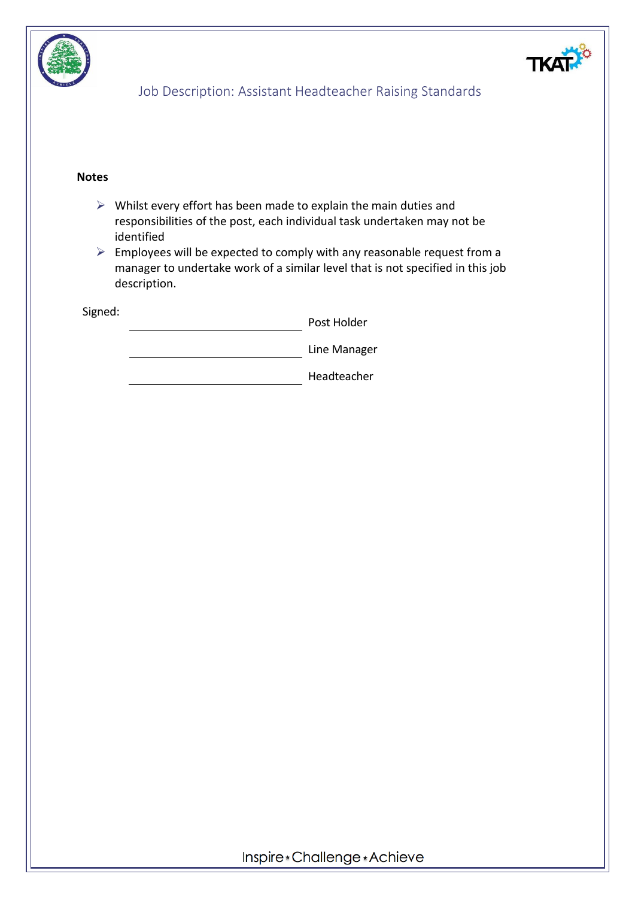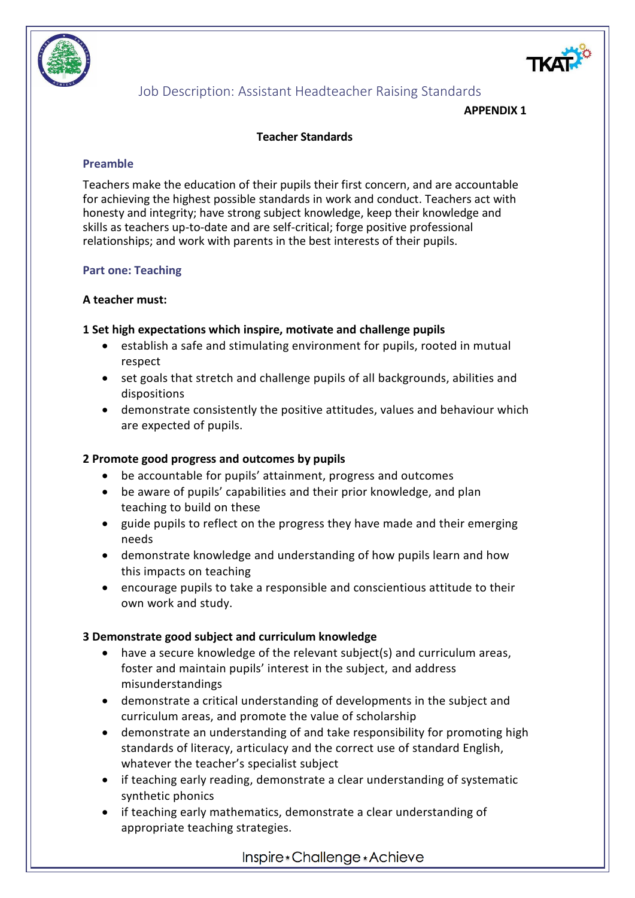



#### **APPENDIX 1**

### **Teacher Standards**

#### **Preamble**

Teachers make the education of their pupils their first concern, and are accountable for achieving the highest possible standards in work and conduct. Teachers act with honesty and integrity; have strong subject knowledge, keep their knowledge and skills as teachers up-to-date and are self-critical; forge positive professional relationships; and work with parents in the best interests of their pupils.

#### **Part one: Teaching**

#### **A teacher must:**

#### **1 Set high expectations which inspire, motivate and challenge pupils**

- establish a safe and stimulating environment for pupils, rooted in mutual respect
- set goals that stretch and challenge pupils of all backgrounds, abilities and dispositions
- demonstrate consistently the positive attitudes, values and behaviour which are expected of pupils.

#### **2 Promote good progress and outcomes by pupils**

- be accountable for pupils' attainment, progress and outcomes
- be aware of pupils' capabilities and their prior knowledge, and plan teaching to build on these
- guide pupils to reflect on the progress they have made and their emerging needs
- demonstrate knowledge and understanding of how pupils learn and how this impacts on teaching
- encourage pupils to take a responsible and conscientious attitude to their own work and study.

#### **3 Demonstrate good subject and curriculum knowledge**

- have a secure knowledge of the relevant subject(s) and curriculum areas, foster and maintain pupils' interest in the subject, and address misunderstandings
- demonstrate a critical understanding of developments in the subject and curriculum areas, and promote the value of scholarship
- demonstrate an understanding of and take responsibility for promoting high standards of literacy, articulacy and the correct use of standard English, whatever the teacher's specialist subject
- if teaching early reading, demonstrate a clear understanding of systematic synthetic phonics
- if teaching early mathematics, demonstrate a clear understanding of appropriate teaching strategies.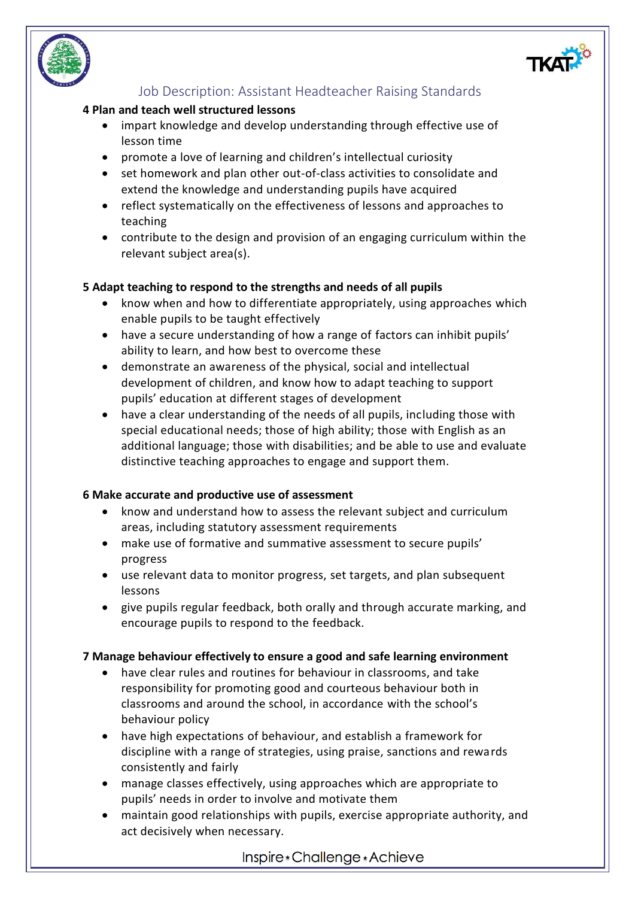



## **4 Plan and teach well structured lessons**

- impart knowledge and develop understanding through effective use of lesson time
- promote a love of learning and children's intellectual curiosity
- set homework and plan other out-of-class activities to consolidate and extend the knowledge and understanding pupils have acquired
- reflect systematically on the effectiveness of lessons and approaches to teaching
- contribute to the design and provision of an engaging curriculum within the relevant subject area(s).

# **5 Adapt teaching to respond to the strengths and needs of all pupils**

- know when and how to differentiate appropriately, using approaches which enable pupils to be taught effectively
- have a secure understanding of how a range of factors can inhibit pupils' ability to learn, and how best to overcome these
- demonstrate an awareness of the physical, social and intellectual development of children, and know how to adapt teaching to support pupils' education at different stages of development
- have a clear understanding of the needs of all pupils, including those with special educational needs; those of high ability; those with English as an additional language; those with disabilities; and be able to use and evaluate distinctive teaching approaches to engage and support them.

# **6 Make accurate and productive use of assessment**

- know and understand how to assess the relevant subject and curriculum areas, including statutory assessment requirements
- make use of formative and summative assessment to secure pupils' progress
- use relevant data to monitor progress, set targets, and plan subsequent lessons
- give pupils regular feedback, both orally and through accurate marking, and encourage pupils to respond to the feedback.

#### **7 Manage behaviour effectively to ensure a good and safe learning environment**

- have clear rules and routines for behaviour in classrooms, and take responsibility for promoting good and courteous behaviour both in classrooms and around the school, in accordance with the school's behaviour policy
- have high expectations of behaviour, and establish a framework for discipline with a range of strategies, using praise, sanctions and rewards consistently and fairly
- manage classes effectively, using approaches which are appropriate to pupils' needs in order to involve and motivate them
- maintain good relationships with pupils, exercise appropriate authority, and act decisively when necessary.

Inspire \* Challenge \* Achieve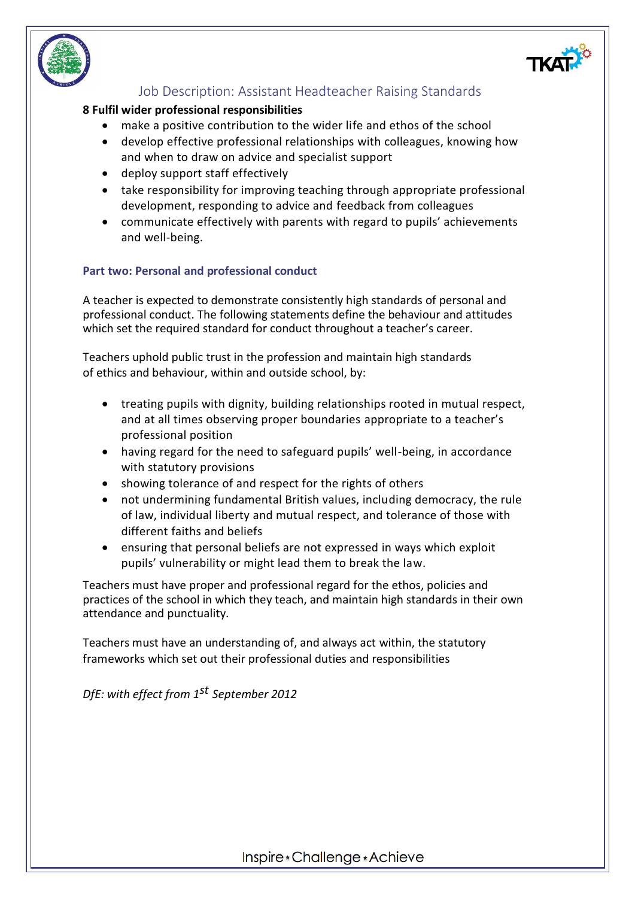

# **8 Fulfil wider professional responsibilities**

- make a positive contribution to the wider life and ethos of the school
- develop effective professional relationships with colleagues, knowing how and when to draw on advice and specialist support
- deploy support staff effectively
- take responsibility for improving teaching through appropriate professional development, responding to advice and feedback from colleagues
- communicate effectively with parents with regard to pupils' achievements and well-being.

# **Part two: Personal and professional conduct**

A teacher is expected to demonstrate consistently high standards of personal and professional conduct. The following statements define the behaviour and attitudes which set the required standard for conduct throughout a teacher's career.

Teachers uphold public trust in the profession and maintain high standards of ethics and behaviour, within and outside school, by:

- treating pupils with dignity, building relationships rooted in mutual respect, and at all times observing proper boundaries appropriate to a teacher's professional position
- having regard for the need to safeguard pupils' well-being, in accordance with statutory provisions
- showing tolerance of and respect for the rights of others
- not undermining fundamental British values, including democracy, the rule of law, individual liberty and mutual respect, and tolerance of those with different faiths and beliefs
- ensuring that personal beliefs are not expressed in ways which exploit pupils' vulnerability or might lead them to break the law.

Teachers must have proper and professional regard for the ethos, policies and practices of the school in which they teach, and maintain high standards in their own attendance and punctuality.

Teachers must have an understanding of, and always act within, the statutory frameworks which set out their professional duties and responsibilities

*DfE: with effect from 1 st September 2012*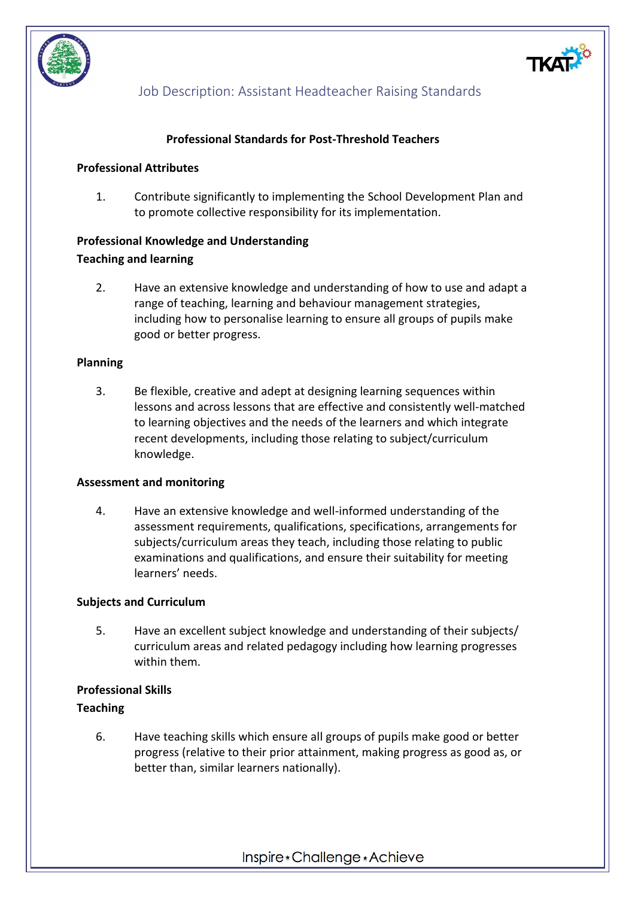



### **Professional Standards for Post-Threshold Teachers**

#### **Professional Attributes**

1. Contribute significantly to implementing the School Development Plan and to promote collective responsibility for its implementation.

# **Professional Knowledge and Understanding Teaching and learning**

2. Have an extensive knowledge and understanding of how to use and adapt a range of teaching, learning and behaviour management strategies, including how to personalise learning to ensure all groups of pupils make good or better progress.

#### **Planning**

3. Be flexible, creative and adept at designing learning sequences within lessons and across lessons that are effective and consistently well-matched to learning objectives and the needs of the learners and which integrate recent developments, including those relating to subject/curriculum knowledge.

#### **Assessment and monitoring**

4. Have an extensive knowledge and well-informed understanding of the assessment requirements, qualifications, specifications, arrangements for subjects/curriculum areas they teach, including those relating to public examinations and qualifications, and ensure their suitability for meeting learners' needs.

#### **Subjects and Curriculum**

5. Have an excellent subject knowledge and understanding of their subjects/ curriculum areas and related pedagogy including how learning progresses within them.

#### **Professional Skills**

#### **Teaching**

6. Have teaching skills which ensure all groups of pupils make good or better progress (relative to their prior attainment, making progress as good as, or better than, similar learners nationally).